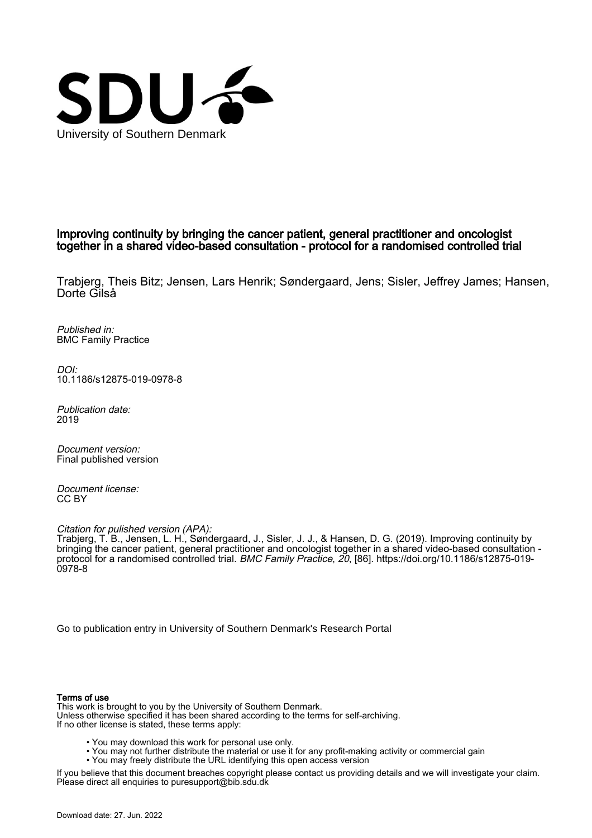

# Improving continuity by bringing the cancer patient, general practitioner and oncologist together in a shared video-based consultation - protocol for a randomised controlled trial

Trabjerg, Theis Bitz; Jensen, Lars Henrik; Søndergaard, Jens; Sisler, Jeffrey James; Hansen, Dorte Gilså

Published in: BMC Family Practice

DOI: [10.1186/s12875-019-0978-8](https://doi.org/10.1186/s12875-019-0978-8)

Publication date: 2019

Document version: Final published version

Document license: CC BY

Citation for pulished version (APA):

Trabjerg, T. B., Jensen, L. H., Søndergaard, J., Sisler, J. J., & Hansen, D. G. (2019). Improving continuity by bringing the cancer patient, general practitioner and oncologist together in a shared video-based consultation protocol for a randomised controlled trial. BMC Family Practice, 20, [86]. [https://doi.org/10.1186/s12875-019-](https://doi.org/10.1186/s12875-019-0978-8) [0978-8](https://doi.org/10.1186/s12875-019-0978-8)

[Go to publication entry in University of Southern Denmark's Research Portal](https://portal.findresearcher.sdu.dk/en/publications/1778b413-c687-4027-bb79-785f1e2937f6)

#### Terms of use

This work is brought to you by the University of Southern Denmark. Unless otherwise specified it has been shared according to the terms for self-archiving. If no other license is stated, these terms apply:

- You may download this work for personal use only.
- You may not further distribute the material or use it for any profit-making activity or commercial gain
	- You may freely distribute the URL identifying this open access version

If you believe that this document breaches copyright please contact us providing details and we will investigate your claim. Please direct all enquiries to puresupport@bib.sdu.dk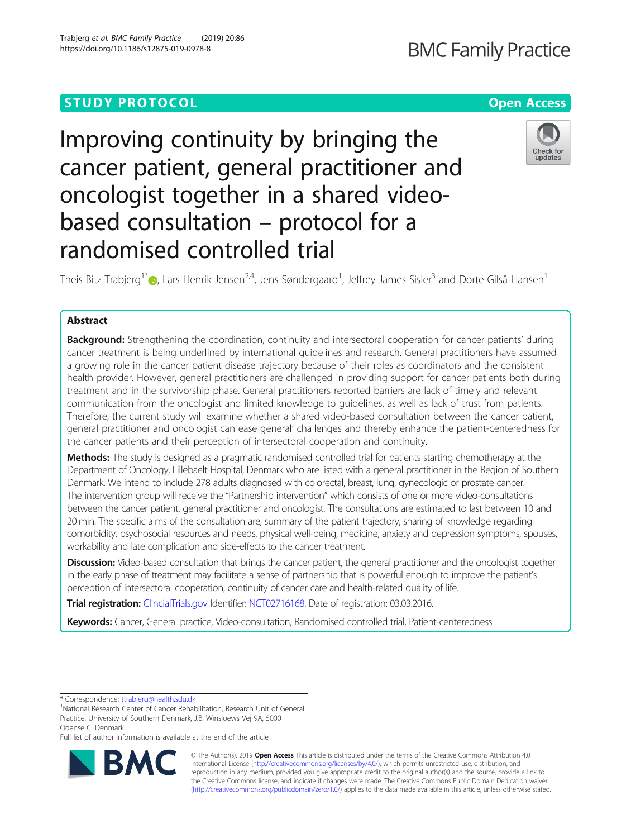# **STUDY PROTOCOL CONSUMING THE RESERVE ACCESS**

# Improving continuity by bringing the cancer patient, general practitioner and oncologist together in a shared videobased consultation – protocol for a

randomised controlled trial

Theis Bitz Trabjerg<sup>1\*</sup>�[,](http://orcid.org/0000-0002-7632-8227) Lars Henrik Jensen<sup>2,4</sup>, Jens Søndergaard<sup>1</sup>, Jeffrey James Sisler<sup>3</sup> and Dorte Gilså Hansen<sup>1</sup>

# Abstract

Background: Strengthening the coordination, continuity and intersectoral cooperation for cancer patients' during cancer treatment is being underlined by international guidelines and research. General practitioners have assumed a growing role in the cancer patient disease trajectory because of their roles as coordinators and the consistent health provider. However, general practitioners are challenged in providing support for cancer patients both during treatment and in the survivorship phase. General practitioners reported barriers are lack of timely and relevant communication from the oncologist and limited knowledge to guidelines, as well as lack of trust from patients. Therefore, the current study will examine whether a shared video-based consultation between the cancer patient, general practitioner and oncologist can ease general' challenges and thereby enhance the patient-centeredness for the cancer patients and their perception of intersectoral cooperation and continuity.

Methods: The study is designed as a pragmatic randomised controlled trial for patients starting chemotherapy at the Department of Oncology, Lillebaelt Hospital, Denmark who are listed with a general practitioner in the Region of Southern Denmark. We intend to include 278 adults diagnosed with colorectal, breast, lung, gynecologic or prostate cancer. The intervention group will receive the "Partnership intervention" which consists of one or more video-consultations between the cancer patient, general practitioner and oncologist. The consultations are estimated to last between 10 and 20 min. The specific aims of the consultation are, summary of the patient trajectory, sharing of knowledge regarding comorbidity, psychosocial resources and needs, physical well-being, medicine, anxiety and depression symptoms, spouses, workability and late complication and side-effects to the cancer treatment.

Discussion: Video-based consultation that brings the cancer patient, the general practitioner and the oncologist together in the early phase of treatment may facilitate a sense of partnership that is powerful enough to improve the patient's perception of intersectoral cooperation, continuity of cancer care and health-related quality of life.

Trial registration: [ClincialTrials.gov](http://www.clincialtrials.gov) Identifier: [NCT02716168](https://clinicaltrials.gov/ct2/show/NCT02716168). Date of registration: 03.03.2016.

Keywords: Cancer, General practice, Video-consultation, Randomised controlled trial, Patient-centeredness

\* Correspondence: [ttrabjerg@health.sdu.dk](mailto:ttrabjerg@health.sdu.dk) <sup>1</sup>

<sup>1</sup>National Research Center of Cancer Rehabilitation, Research Unit of General Practice, University of Southern Denmark, J.B. Winsloews Vej 9A, 5000 Odense C, Denmark

Full list of author information is available at the end of the article



© The Author(s). 2019 **Open Access** This article is distributed under the terms of the Creative Commons Attribution 4.0 International License [\(http://creativecommons.org/licenses/by/4.0/](http://creativecommons.org/licenses/by/4.0/)), which permits unrestricted use, distribution, and reproduction in any medium, provided you give appropriate credit to the original author(s) and the source, provide a link to the Creative Commons license, and indicate if changes were made. The Creative Commons Public Domain Dedication waiver [\(http://creativecommons.org/publicdomain/zero/1.0/](http://creativecommons.org/publicdomain/zero/1.0/)) applies to the data made available in this article, unless otherwise stated.



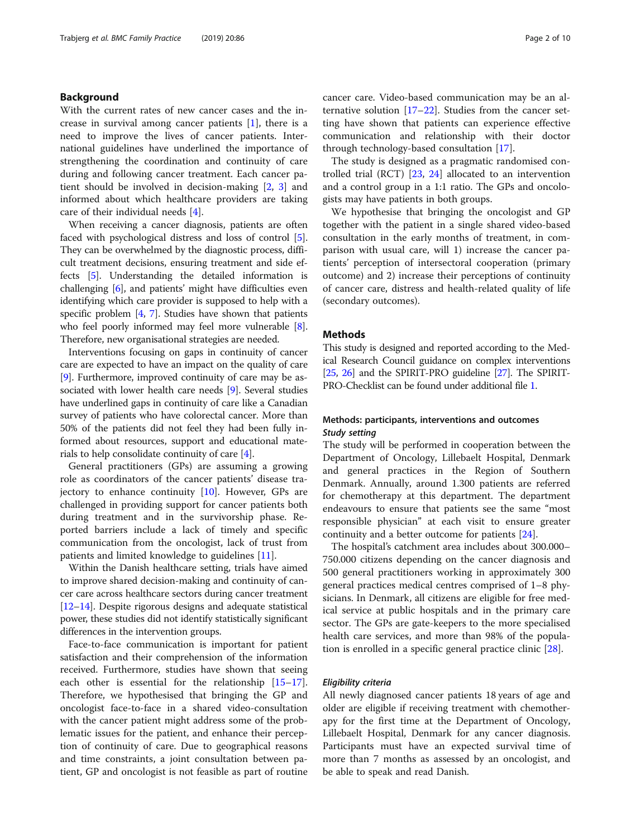#### Background

With the current rates of new cancer cases and the increase in survival among cancer patients [\[1](#page-9-0)], there is a need to improve the lives of cancer patients. International guidelines have underlined the importance of strengthening the coordination and continuity of care during and following cancer treatment. Each cancer patient should be involved in decision-making [[2](#page-9-0), [3\]](#page-9-0) and informed about which healthcare providers are taking care of their individual needs [\[4\]](#page-9-0).

When receiving a cancer diagnosis, patients are often faced with psychological distress and loss of control [[5](#page-9-0)]. They can be overwhelmed by the diagnostic process, difficult treatment decisions, ensuring treatment and side effects [[5\]](#page-9-0). Understanding the detailed information is challenging [\[6\]](#page-9-0), and patients' might have difficulties even identifying which care provider is supposed to help with a specific problem [[4](#page-9-0), [7](#page-9-0)]. Studies have shown that patients who feel poorly informed may feel more vulnerable [[8](#page-9-0)]. Therefore, new organisational strategies are needed.

Interventions focusing on gaps in continuity of cancer care are expected to have an impact on the quality of care [[9\]](#page-9-0). Furthermore, improved continuity of care may be associated with lower health care needs [\[9](#page-9-0)]. Several studies have underlined gaps in continuity of care like a Canadian survey of patients who have colorectal cancer. More than 50% of the patients did not feel they had been fully informed about resources, support and educational materials to help consolidate continuity of care [\[4\]](#page-9-0).

General practitioners (GPs) are assuming a growing role as coordinators of the cancer patients' disease trajectory to enhance continuity [\[10](#page-9-0)]. However, GPs are challenged in providing support for cancer patients both during treatment and in the survivorship phase. Reported barriers include a lack of timely and specific communication from the oncologist, lack of trust from patients and limited knowledge to guidelines [\[11\]](#page-9-0).

Within the Danish healthcare setting, trials have aimed to improve shared decision-making and continuity of cancer care across healthcare sectors during cancer treatment [[12](#page-9-0)–[14\]](#page-9-0). Despite rigorous designs and adequate statistical power, these studies did not identify statistically significant differences in the intervention groups.

Face-to-face communication is important for patient satisfaction and their comprehension of the information received. Furthermore, studies have shown that seeing each other is essential for the relationship [[15](#page-9-0)–[17](#page-9-0)]. Therefore, we hypothesised that bringing the GP and oncologist face-to-face in a shared video-consultation with the cancer patient might address some of the problematic issues for the patient, and enhance their perception of continuity of care. Due to geographical reasons and time constraints, a joint consultation between patient, GP and oncologist is not feasible as part of routine cancer care. Video-based communication may be an alternative solution  $[17–22]$  $[17–22]$  $[17–22]$ . Studies from the cancer setting have shown that patients can experience effective communication and relationship with their doctor through technology-based consultation [[17\]](#page-9-0).

The study is designed as a pragmatic randomised controlled trial (RCT) [[23,](#page-10-0) [24\]](#page-10-0) allocated to an intervention and a control group in a 1:1 ratio. The GPs and oncologists may have patients in both groups.

We hypothesise that bringing the oncologist and GP together with the patient in a single shared video-based consultation in the early months of treatment, in comparison with usual care, will 1) increase the cancer patients' perception of intersectoral cooperation (primary outcome) and 2) increase their perceptions of continuity of cancer care, distress and health-related quality of life (secondary outcomes).

#### Methods

This study is designed and reported according to the Medical Research Council guidance on complex interventions [[25](#page-10-0), [26](#page-10-0)] and the SPIRIT-PRO guideline [\[27\]](#page-10-0). The SPIRIT-PRO-Checklist can be found under additional file [1](#page-8-0).

#### Methods: participants, interventions and outcomes Study setting

The study will be performed in cooperation between the Department of Oncology, Lillebaelt Hospital, Denmark and general practices in the Region of Southern Denmark. Annually, around 1.300 patients are referred for chemotherapy at this department. The department endeavours to ensure that patients see the same "most responsible physician" at each visit to ensure greater continuity and a better outcome for patients [[24\]](#page-10-0).

The hospital's catchment area includes about 300.000– 750.000 citizens depending on the cancer diagnosis and 500 general practitioners working in approximately 300 general practices medical centres comprised of 1–8 physicians. In Denmark, all citizens are eligible for free medical service at public hospitals and in the primary care sector. The GPs are gate-keepers to the more specialised health care services, and more than 98% of the population is enrolled in a specific general practice clinic [[28\]](#page-10-0).

#### Eligibility criteria

All newly diagnosed cancer patients 18 years of age and older are eligible if receiving treatment with chemotherapy for the first time at the Department of Oncology, Lillebaelt Hospital, Denmark for any cancer diagnosis. Participants must have an expected survival time of more than 7 months as assessed by an oncologist, and be able to speak and read Danish.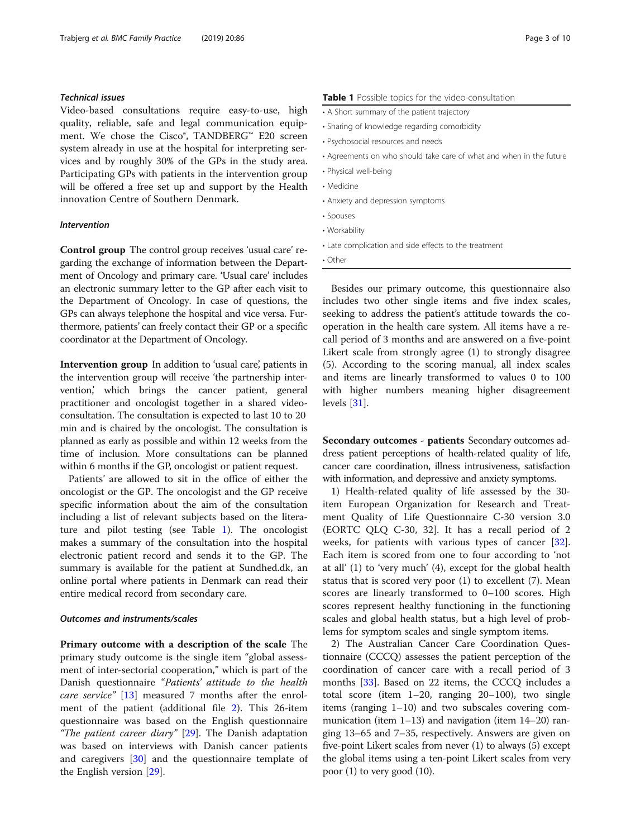#### Technical issues

Video-based consultations require easy-to-use, high quality, reliable, safe and legal communication equipment. We chose the Cisco®, TANDBERG™ E20 screen system already in use at the hospital for interpreting services and by roughly 30% of the GPs in the study area. Participating GPs with patients in the intervention group will be offered a free set up and support by the Health innovation Centre of Southern Denmark.

#### Intervention

Control group The control group receives 'usual care' regarding the exchange of information between the Department of Oncology and primary care. 'Usual care' includes an electronic summary letter to the GP after each visit to the Department of Oncology. In case of questions, the GPs can always telephone the hospital and vice versa. Furthermore, patients' can freely contact their GP or a specific coordinator at the Department of Oncology.

Intervention group In addition to 'usual care', patients in the intervention group will receive 'the partnership intervention,' which brings the cancer patient, general practitioner and oncologist together in a shared videoconsultation. The consultation is expected to last 10 to 20 min and is chaired by the oncologist. The consultation is planned as early as possible and within 12 weeks from the time of inclusion. More consultations can be planned within 6 months if the GP, oncologist or patient request.

Patients' are allowed to sit in the office of either the oncologist or the GP. The oncologist and the GP receive specific information about the aim of the consultation including a list of relevant subjects based on the literature and pilot testing (see Table 1). The oncologist makes a summary of the consultation into the hospital electronic patient record and sends it to the GP. The summary is available for the patient at Sundhed.dk, an online portal where patients in Denmark can read their entire medical record from secondary care.

#### Outcomes and instruments/scales

Primary outcome with a description of the scale The primary study outcome is the single item "global assessment of inter-sectorial cooperation," which is part of the Danish questionnaire "Patients' attitude to the health care service" [[13\]](#page-9-0) measured 7 months after the enrolment of the patient (additional file [2\)](#page-8-0). This 26-item questionnaire was based on the English questionnaire *"The patient career diary"* [[29](#page-10-0)]. The Danish adaptation was based on interviews with Danish cancer patients and caregivers [[30](#page-10-0)] and the questionnaire template of the English version [[29\]](#page-10-0).

#### Table 1 Possible topics for the video-consultation

- A Short summary of the patient trajectory
- Sharing of knowledge regarding comorbidity
- Psychosocial resources and needs
- Agreements on who should take care of what and when in the future
- Physical well-being
- Medicine
- Anxiety and depression symptoms
- Spouses
- Workability
- Late complication and side effects to the treatment

#### • Other

Besides our primary outcome, this questionnaire also includes two other single items and five index scales, seeking to address the patient's attitude towards the cooperation in the health care system. All items have a recall period of 3 months and are answered on a five-point Likert scale from strongly agree (1) to strongly disagree (5). According to the scoring manual, all index scales and items are linearly transformed to values 0 to 100 with higher numbers meaning higher disagreement levels [\[31\]](#page-10-0).

Secondary outcomes - patients Secondary outcomes address patient perceptions of health-related quality of life, cancer care coordination, illness intrusiveness, satisfaction with information, and depressive and anxiety symptoms.

1) Health-related quality of life assessed by the 30 item European Organization for Research and Treatment Quality of Life Questionnaire C-30 version 3.0 (EORTC QLQ C-30, 32]. It has a recall period of 2 weeks, for patients with various types of cancer [\[32](#page-10-0)]. Each item is scored from one to four according to 'not at all' (1) to 'very much' (4), except for the global health status that is scored very poor (1) to excellent (7). Mean scores are linearly transformed to 0–100 scores. High scores represent healthy functioning in the functioning scales and global health status, but a high level of problems for symptom scales and single symptom items.

2) The Australian Cancer Care Coordination Questionnaire (CCCQ) assesses the patient perception of the coordination of cancer care with a recall period of 3 months [\[33\]](#page-10-0). Based on 22 items, the CCCQ includes a total score (item 1–20, ranging 20–100), two single items (ranging 1–10) and two subscales covering communication (item 1–13) and navigation (item 14–20) ranging 13–65 and 7–35, respectively. Answers are given on five-point Likert scales from never (1) to always (5) except the global items using a ten-point Likert scales from very poor (1) to very good (10).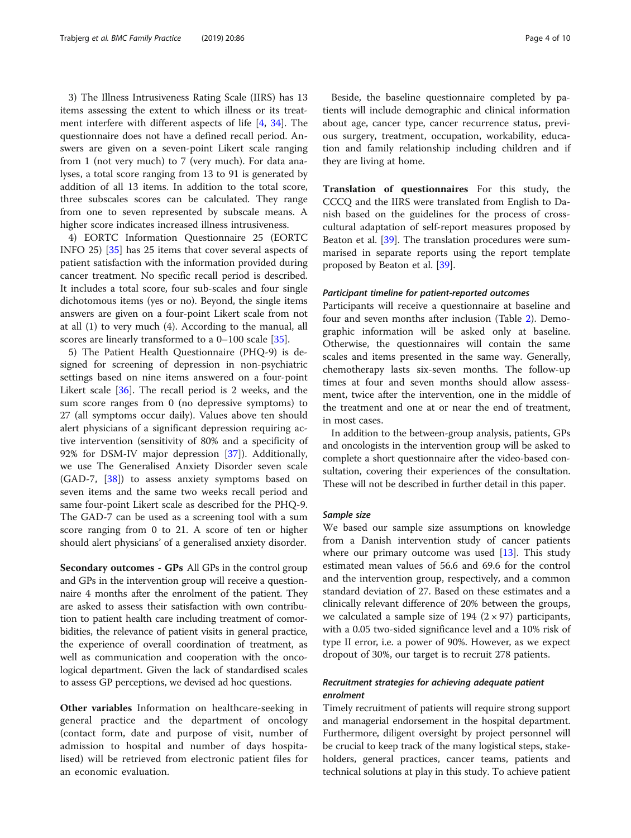3) The Illness Intrusiveness Rating Scale (IIRS) has 13 items assessing the extent to which illness or its treatment interfere with different aspects of life [[4](#page-9-0), [34](#page-10-0)]. The questionnaire does not have a defined recall period. Answers are given on a seven-point Likert scale ranging from 1 (not very much) to 7 (very much). For data analyses, a total score ranging from 13 to 91 is generated by addition of all 13 items. In addition to the total score, three subscales scores can be calculated. They range from one to seven represented by subscale means. A higher score indicates increased illness intrusiveness.

4) EORTC Information Questionnaire 25 (EORTC INFO 25) [[35\]](#page-10-0) has 25 items that cover several aspects of patient satisfaction with the information provided during cancer treatment. No specific recall period is described. It includes a total score, four sub-scales and four single dichotomous items (yes or no). Beyond, the single items answers are given on a four-point Likert scale from not at all (1) to very much (4). According to the manual, all scores are linearly transformed to a 0–100 scale [[35](#page-10-0)].

5) The Patient Health Questionnaire (PHQ-9) is designed for screening of depression in non-psychiatric settings based on nine items answered on a four-point Likert scale [[36\]](#page-10-0). The recall period is 2 weeks, and the sum score ranges from 0 (no depressive symptoms) to 27 (all symptoms occur daily). Values above ten should alert physicians of a significant depression requiring active intervention (sensitivity of 80% and a specificity of 92% for DSM-IV major depression [\[37\]](#page-10-0)). Additionally, we use The Generalised Anxiety Disorder seven scale (GAD-7, [\[38\]](#page-10-0)) to assess anxiety symptoms based on seven items and the same two weeks recall period and same four-point Likert scale as described for the PHQ-9. The GAD-7 can be used as a screening tool with a sum score ranging from 0 to 21. A score of ten or higher should alert physicians' of a generalised anxiety disorder.

Secondary outcomes - GPs All GPs in the control group and GPs in the intervention group will receive a questionnaire 4 months after the enrolment of the patient. They are asked to assess their satisfaction with own contribution to patient health care including treatment of comorbidities, the relevance of patient visits in general practice, the experience of overall coordination of treatment, as well as communication and cooperation with the oncological department. Given the lack of standardised scales to assess GP perceptions, we devised ad hoc questions.

Other variables Information on healthcare-seeking in general practice and the department of oncology (contact form, date and purpose of visit, number of admission to hospital and number of days hospitalised) will be retrieved from electronic patient files for an economic evaluation.

Beside, the baseline questionnaire completed by patients will include demographic and clinical information about age, cancer type, cancer recurrence status, previous surgery, treatment, occupation, workability, education and family relationship including children and if they are living at home.

Translation of questionnaires For this study, the CCCQ and the IIRS were translated from English to Danish based on the guidelines for the process of crosscultural adaptation of self-report measures proposed by Beaton et al. [\[39](#page-10-0)]. The translation procedures were summarised in separate reports using the report template proposed by Beaton et al. [[39\]](#page-10-0).

#### Participant timeline for patient-reported outcomes

Participants will receive a questionnaire at baseline and four and seven months after inclusion (Table [2](#page-5-0)). Demographic information will be asked only at baseline. Otherwise, the questionnaires will contain the same scales and items presented in the same way. Generally, chemotherapy lasts six-seven months. The follow-up times at four and seven months should allow assessment, twice after the intervention, one in the middle of the treatment and one at or near the end of treatment, in most cases.

In addition to the between-group analysis, patients, GPs and oncologists in the intervention group will be asked to complete a short questionnaire after the video-based consultation, covering their experiences of the consultation. These will not be described in further detail in this paper.

#### Sample size

We based our sample size assumptions on knowledge from a Danish intervention study of cancer patients where our primary outcome was used [[13](#page-9-0)]. This study estimated mean values of 56.6 and 69.6 for the control and the intervention group, respectively, and a common standard deviation of 27. Based on these estimates and a clinically relevant difference of 20% between the groups, we calculated a sample size of 194  $(2 \times 97)$  participants, with a 0.05 two-sided significance level and a 10% risk of type II error, i.e. a power of 90%. However, as we expect dropout of 30%, our target is to recruit 278 patients.

#### Recruitment strategies for achieving adequate patient enrolment

Timely recruitment of patients will require strong support and managerial endorsement in the hospital department. Furthermore, diligent oversight by project personnel will be crucial to keep track of the many logistical steps, stakeholders, general practices, cancer teams, patients and technical solutions at play in this study. To achieve patient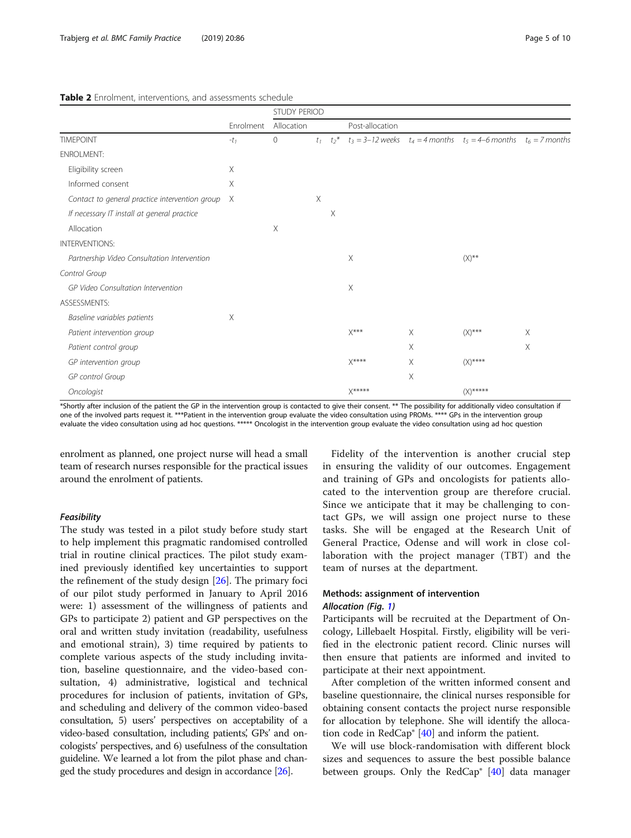#### <span id="page-5-0"></span>Table 2 Enrolment, interventions, and assessments schedule

|                                                | Enrolment | <b>STUDY PERIOD</b> |   |   |                 |          |                                                                                                  |          |
|------------------------------------------------|-----------|---------------------|---|---|-----------------|----------|--------------------------------------------------------------------------------------------------|----------|
|                                                |           | Allocation          |   |   | Post-allocation |          |                                                                                                  |          |
| <b>TIMEPOINT</b>                               | $-t_1$    | $\mathbf 0$         |   |   |                 |          | $t_1$ $t_2$ <sup>*</sup> $t_3 = 3-12$ weeks $t_4 = 4$ months $t_5 = 4-6$ months $t_6 = 7$ months |          |
| <b>ENROLMENT:</b>                              |           |                     |   |   |                 |          |                                                                                                  |          |
| Eligibility screen                             | X         |                     |   |   |                 |          |                                                                                                  |          |
| Informed consent                               | X         |                     |   |   |                 |          |                                                                                                  |          |
| Contact to general practice intervention group | $\times$  |                     | X |   |                 |          |                                                                                                  |          |
| If necessary IT install at general practice    |           |                     |   | Χ |                 |          |                                                                                                  |          |
| Allocation                                     |           | X                   |   |   |                 |          |                                                                                                  |          |
| <b>INTERVENTIONS:</b>                          |           |                     |   |   |                 |          |                                                                                                  |          |
| Partnership Video Consultation Intervention    |           |                     |   |   | Χ               |          | $(X)$ **                                                                                         |          |
| Control Group                                  |           |                     |   |   |                 |          |                                                                                                  |          |
| GP Video Consultation Intervention             |           |                     |   |   | X               |          |                                                                                                  |          |
| ASSESSMENTS:                                   |           |                     |   |   |                 |          |                                                                                                  |          |
| Baseline variables patients                    | Χ         |                     |   |   |                 |          |                                                                                                  |          |
| Patient intervention group                     |           |                     |   |   | $X$ ***         | $\times$ | $(X)$ ***                                                                                        | $\times$ |
| Patient control group                          |           |                     |   |   |                 | $\times$ |                                                                                                  | X        |
| GP intervention group                          |           |                     |   |   | $X***$          | $\times$ | $(X)$ ****                                                                                       |          |
| GP control Group                               |           |                     |   |   |                 | Χ        |                                                                                                  |          |
| Oncologist                                     |           |                     |   |   | $X$ *****       |          | $(X)$ *****                                                                                      |          |

\*Shortly after inclusion of the patient the GP in the intervention group is contacted to give their consent. \*\* The possibility for additionally video consultation if one of the involved parts request it. \*\*\*Patient in the intervention group evaluate the video consultation using PROMs. \*\*\*\* GPs in the intervention group evaluate the video consultation using ad hoc questions. \*\*\*\*\* Oncologist in the intervention group evaluate the video consultation using ad hoc question

enrolment as planned, one project nurse will head a small team of research nurses responsible for the practical issues around the enrolment of patients.

#### Feasibility

The study was tested in a pilot study before study start to help implement this pragmatic randomised controlled trial in routine clinical practices. The pilot study examined previously identified key uncertainties to support the refinement of the study design [[26](#page-10-0)]. The primary foci of our pilot study performed in January to April 2016 were: 1) assessment of the willingness of patients and GPs to participate 2) patient and GP perspectives on the oral and written study invitation (readability, usefulness and emotional strain), 3) time required by patients to complete various aspects of the study including invitation, baseline questionnaire, and the video-based consultation, 4) administrative, logistical and technical procedures for inclusion of patients, invitation of GPs, and scheduling and delivery of the common video-based consultation, 5) users' perspectives on acceptability of a video-based consultation, including patients', GPs' and oncologists' perspectives, and 6) usefulness of the consultation guideline. We learned a lot from the pilot phase and changed the study procedures and design in accordance [\[26\]](#page-10-0).

Fidelity of the intervention is another crucial step in ensuring the validity of our outcomes. Engagement and training of GPs and oncologists for patients allocated to the intervention group are therefore crucial. Since we anticipate that it may be challenging to contact GPs, we will assign one project nurse to these tasks. She will be engaged at the Research Unit of General Practice, Odense and will work in close collaboration with the project manager (TBT) and the team of nurses at the department.

#### Methods: assignment of intervention Allocation (Fig. [1](#page-6-0))

Participants will be recruited at the Department of Oncology, Lillebaelt Hospital. Firstly, eligibility will be verified in the electronic patient record. Clinic nurses will then ensure that patients are informed and invited to participate at their next appointment.

After completion of the written informed consent and baseline questionnaire, the clinical nurses responsible for obtaining consent contacts the project nurse responsible for allocation by telephone. She will identify the allocation code in  $RedCap^{\circ}$  [[40\]](#page-10-0) and inform the patient.

We will use block-randomisation with different block sizes and sequences to assure the best possible balance between groups. Only the  $RedCap^{\circ}$  [[40](#page-10-0)] data manager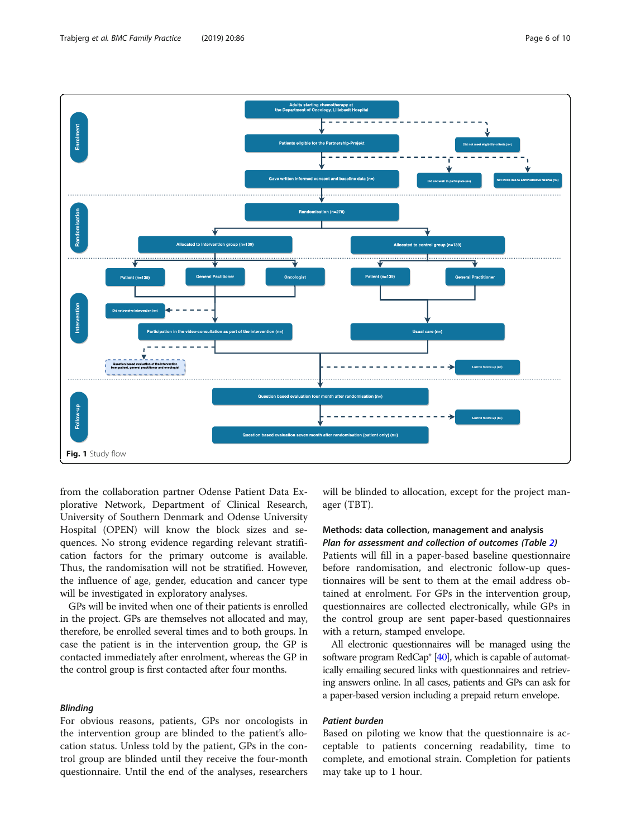<span id="page-6-0"></span>

from the collaboration partner Odense Patient Data Explorative Network, Department of Clinical Research, University of Southern Denmark and Odense University Hospital (OPEN) will know the block sizes and sequences. No strong evidence regarding relevant stratification factors for the primary outcome is available. Thus, the randomisation will not be stratified. However, the influence of age, gender, education and cancer type will be investigated in exploratory analyses.

GPs will be invited when one of their patients is enrolled in the project. GPs are themselves not allocated and may, therefore, be enrolled several times and to both groups. In case the patient is in the intervention group, the GP is contacted immediately after enrolment, whereas the GP in the control group is first contacted after four months.

#### Blinding

For obvious reasons, patients, GPs nor oncologists in the intervention group are blinded to the patient's allocation status. Unless told by the patient, GPs in the control group are blinded until they receive the four-month questionnaire. Until the end of the analyses, researchers

will be blinded to allocation, except for the project manager (TBT).

# Methods: data collection, management and analysis Plan for assessment and collection of outcomes (Table [2](#page-5-0))

Patients will fill in a paper-based baseline questionnaire before randomisation, and electronic follow-up questionnaires will be sent to them at the email address obtained at enrolment. For GPs in the intervention group, questionnaires are collected electronically, while GPs in the control group are sent paper-based questionnaires with a return, stamped envelope.

All electronic questionnaires will be managed using the software program RedCap® [[40\]](#page-10-0), which is capable of automatically emailing secured links with questionnaires and retrieving answers online. In all cases, patients and GPs can ask for a paper-based version including a prepaid return envelope.

#### Patient burden

Based on piloting we know that the questionnaire is acceptable to patients concerning readability, time to complete, and emotional strain. Completion for patients may take up to 1 hour.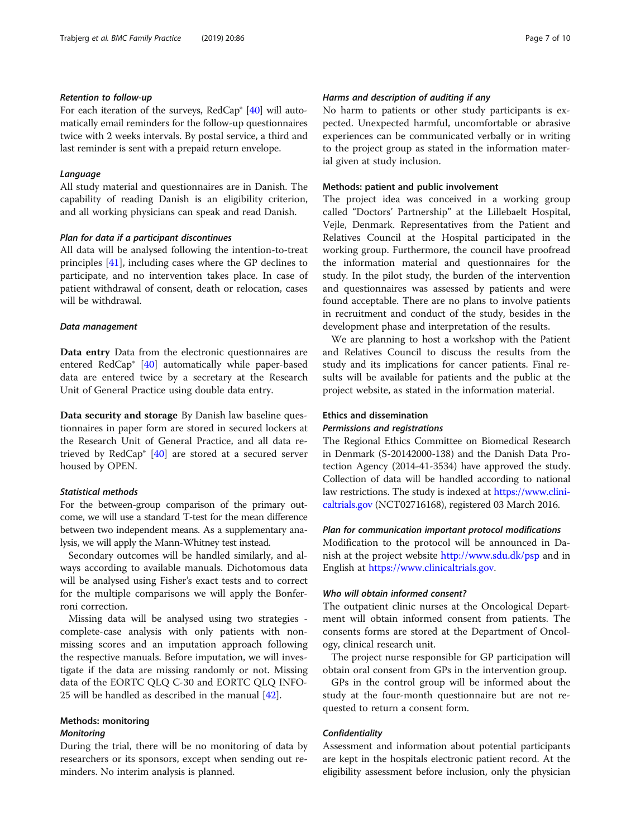#### Retention to follow-up

For each iteration of the surveys, RedCap® [[40](#page-10-0)] will automatically email reminders for the follow-up questionnaires twice with 2 weeks intervals. By postal service, a third and last reminder is sent with a prepaid return envelope.

#### Language

All study material and questionnaires are in Danish. The capability of reading Danish is an eligibility criterion, and all working physicians can speak and read Danish.

#### Plan for data if a participant discontinues

All data will be analysed following the intention-to-treat principles [[41\]](#page-10-0), including cases where the GP declines to participate, and no intervention takes place. In case of patient withdrawal of consent, death or relocation, cases will be withdrawal.

#### Data management

Data entry Data from the electronic questionnaires are entered RedCap® [[40\]](#page-10-0) automatically while paper-based data are entered twice by a secretary at the Research Unit of General Practice using double data entry.

Data security and storage By Danish law baseline questionnaires in paper form are stored in secured lockers at the Research Unit of General Practice, and all data retrieved by RedCap® [\[40](#page-10-0)] are stored at a secured server housed by OPEN.

#### Statistical methods

For the between-group comparison of the primary outcome, we will use a standard T-test for the mean difference between two independent means. As a supplementary analysis, we will apply the Mann-Whitney test instead.

Secondary outcomes will be handled similarly, and always according to available manuals. Dichotomous data will be analysed using Fisher's exact tests and to correct for the multiple comparisons we will apply the Bonferroni correction.

Missing data will be analysed using two strategies complete-case analysis with only patients with nonmissing scores and an imputation approach following the respective manuals. Before imputation, we will investigate if the data are missing randomly or not. Missing data of the EORTC QLQ C-30 and EORTC QLQ INFO-25 will be handled as described in the manual [[42\]](#page-10-0).

#### Methods: monitoring

#### **Monitoring**

During the trial, there will be no monitoring of data by researchers or its sponsors, except when sending out reminders. No interim analysis is planned.

#### Harms and description of auditing if any

No harm to patients or other study participants is expected. Unexpected harmful, uncomfortable or abrasive experiences can be communicated verbally or in writing to the project group as stated in the information material given at study inclusion.

#### Methods: patient and public involvement

The project idea was conceived in a working group called "Doctors' Partnership" at the Lillebaelt Hospital, Vejle, Denmark. Representatives from the Patient and Relatives Council at the Hospital participated in the working group. Furthermore, the council have proofread the information material and questionnaires for the study. In the pilot study, the burden of the intervention and questionnaires was assessed by patients and were found acceptable. There are no plans to involve patients in recruitment and conduct of the study, besides in the development phase and interpretation of the results.

We are planning to host a workshop with the Patient and Relatives Council to discuss the results from the study and its implications for cancer patients. Final results will be available for patients and the public at the project website, as stated in the information material.

#### Ethics and dissemination

#### Permissions and registrations

The Regional Ethics Committee on Biomedical Research in Denmark (S-20142000-138) and the Danish Data Protection Agency (2014-41-3534) have approved the study. Collection of data will be handled according to national law restrictions. The study is indexed at [https://www.clini](https://www.clinicaltrials.gov)[caltrials.gov](https://www.clinicaltrials.gov) (NCT02716168), registered 03 March 2016.

#### Plan for communication important protocol modifications

Modification to the protocol will be announced in Danish at the project website <http://www.sdu.dk/psp> and in English at <https://www.clinicaltrials.gov>.

#### Who will obtain informed consent?

The outpatient clinic nurses at the Oncological Department will obtain informed consent from patients. The consents forms are stored at the Department of Oncology, clinical research unit.

The project nurse responsible for GP participation will obtain oral consent from GPs in the intervention group.

GPs in the control group will be informed about the study at the four-month questionnaire but are not requested to return a consent form.

#### **Confidentiality**

Assessment and information about potential participants are kept in the hospitals electronic patient record. At the eligibility assessment before inclusion, only the physician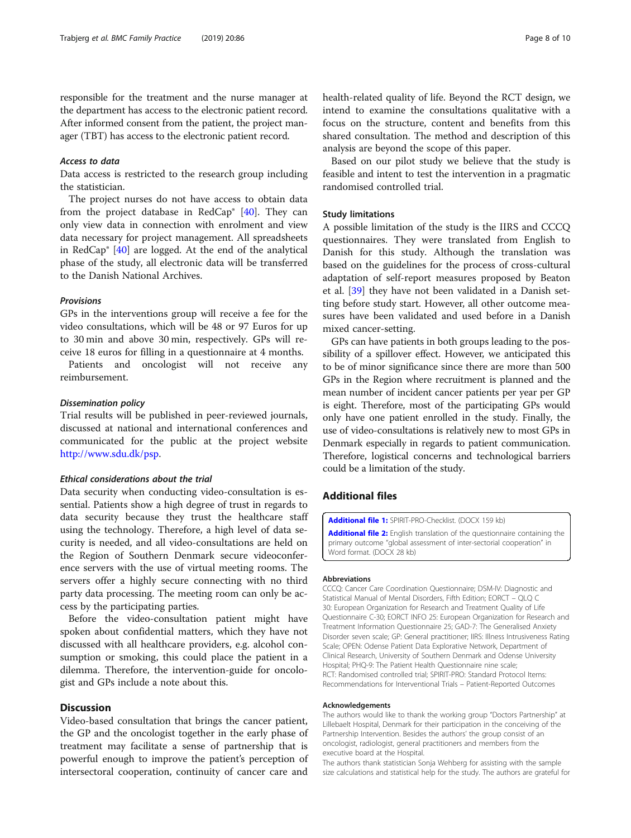<span id="page-8-0"></span>responsible for the treatment and the nurse manager at the department has access to the electronic patient record. After informed consent from the patient, the project manager (TBT) has access to the electronic patient record.

#### Access to data

Data access is restricted to the research group including the statistician.

The project nurses do not have access to obtain data from the project database in RedCap® [\[40\]](#page-10-0). They can only view data in connection with enrolment and view data necessary for project management. All spreadsheets in RedCap® [[40\]](#page-10-0) are logged. At the end of the analytical phase of the study, all electronic data will be transferred to the Danish National Archives.

#### Provisions

GPs in the interventions group will receive a fee for the video consultations, which will be 48 or 97 Euros for up to 30 min and above 30 min, respectively. GPs will receive 18 euros for filling in a questionnaire at 4 months.

Patients and oncologist will not receive any reimbursement.

#### Dissemination policy

Trial results will be published in peer-reviewed journals, discussed at national and international conferences and communicated for the public at the project website [http://www.sdu.dk/psp.](http://www.sdu.dk/psp)

#### Ethical considerations about the trial

Data security when conducting video-consultation is essential. Patients show a high degree of trust in regards to data security because they trust the healthcare staff using the technology. Therefore, a high level of data security is needed, and all video-consultations are held on the Region of Southern Denmark secure videoconference servers with the use of virtual meeting rooms. The servers offer a highly secure connecting with no third party data processing. The meeting room can only be access by the participating parties.

Before the video-consultation patient might have spoken about confidential matters, which they have not discussed with all healthcare providers, e.g. alcohol consumption or smoking, this could place the patient in a dilemma. Therefore, the intervention-guide for oncologist and GPs include a note about this.

### **Discussion**

Video-based consultation that brings the cancer patient, the GP and the oncologist together in the early phase of treatment may facilitate a sense of partnership that is powerful enough to improve the patient's perception of intersectoral cooperation, continuity of cancer care and

health-related quality of life. Beyond the RCT design, we intend to examine the consultations qualitative with a focus on the structure, content and benefits from this shared consultation. The method and description of this analysis are beyond the scope of this paper.

Based on our pilot study we believe that the study is feasible and intent to test the intervention in a pragmatic randomised controlled trial.

#### Study limitations

A possible limitation of the study is the IIRS and CCCQ questionnaires. They were translated from English to Danish for this study. Although the translation was based on the guidelines for the process of cross-cultural adaptation of self-report measures proposed by Beaton et al. [[39\]](#page-10-0) they have not been validated in a Danish setting before study start. However, all other outcome measures have been validated and used before in a Danish mixed cancer-setting.

GPs can have patients in both groups leading to the possibility of a spillover effect. However, we anticipated this to be of minor significance since there are more than 500 GPs in the Region where recruitment is planned and the mean number of incident cancer patients per year per GP is eight. Therefore, most of the participating GPs would only have one patient enrolled in the study. Finally, the use of video-consultations is relatively new to most GPs in Denmark especially in regards to patient communication. Therefore, logistical concerns and technological barriers could be a limitation of the study.

## Additional files

[Additional file 1:](https://doi.org/10.1186/s12875-019-0978-8) SPIRIT-PRO-Checklist. (DOCX 159 kb)

[Additional file 2:](https://doi.org/10.1186/s12875-019-0978-8) English translation of the questionnaire containing the primary outcome "global assessment of inter-sectorial cooperation" in Word format. (DOCX 28 kb)

#### Abbreviations

CCCQ: Cancer Care Coordination Questionnaire; DSM-IV: Diagnostic and Statistical Manual of Mental Disorders, Fifth Edition; EORCT – QLQ C 30: European Organization for Research and Treatment Quality of Life Questionnaire C-30; EORCT INFO 25: European Organization for Research and Treatment Information Questionnaire 25; GAD-7: The Generalised Anxiety Disorder seven scale; GP: General practitioner; IIRS: Illness Intrusiveness Rating Scale; OPEN: Odense Patient Data Explorative Network, Department of Clinical Research, University of Southern Denmark and Odense University Hospital; PHQ-9: The Patient Health Questionnaire nine scale; RCT: Randomised controlled trial; SPIRIT-PRO: Standard Protocol Items: Recommendations for Interventional Trials – Patient-Reported Outcomes

#### Acknowledgements

The authors would like to thank the working group "Doctors Partnership" at Lillebaelt Hospital, Denmark for their participation in the conceiving of the Partnership Intervention. Besides the authors' the group consist of an oncologist, radiologist, general practitioners and members from the executive board at the Hospital.

The authors thank statistician Sonja Wehberg for assisting with the sample size calculations and statistical help for the study. The authors are grateful for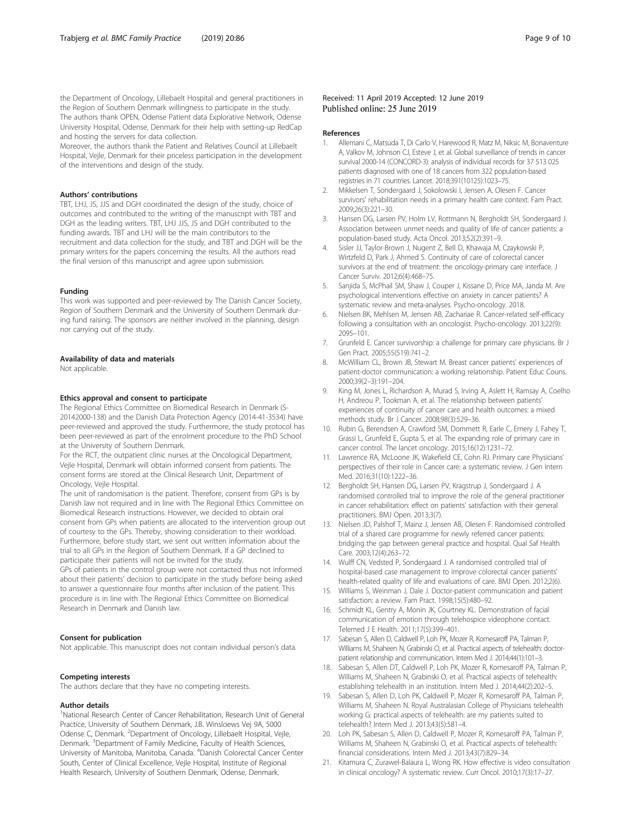<span id="page-9-0"></span>the Department of Oncology, Lillebaelt Hospital and general practitioners in the Region of Southern Denmark willingness to participate in the study. The authors thank OPEN, Odense Patient data Explorative Network, Odense University Hospital, Odense, Denmark for their help with setting-up RedCap and hosting the servers for data collection.

Moreover, the authors thank the Patient and Relatives Council at Lillebaelt Hospital, Vejle, Denmark for their priceless participation in the development of the interventions and design of the study.

#### Authors' contributions

TBT, LHJ, JS, JJS and DGH coordinated the design of the study, choice of outcomes and contributed to the writing of the manuscript with TBT and DGH as the leading writers. TBT, LHJ JJS, JS and DGH contributed to the funding awards. TBT and LHJ will be the main contributors to the recruitment and data collection for the study, and TBT and DGH will be the primary writers for the papers concerning the results. All the authors read the final version of this manuscript and agree upon submission.

#### Funding

This work was supported and peer-reviewed by The Danish Cancer Society, Region of Southern Denmark and the University of Southern Denmark during fund raising. The sponsors are neither involved in the planning, design nor carrying out of the study.

#### Availability of data and materials

Not applicable.

#### Ethics approval and consent to participate

The Regional Ethics Committee on Biomedical Research in Denmark (S-20142000-138) and the Danish Data Protection Agency (2014-41-3534) have peer-reviewed and approved the study. Furthermore, the study protocol has been peer-reviewed as part of the enrolment procedure to the PhD School at the University of Southern Denmark.

For the RCT, the outpatient clinic nurses at the Oncological Department, Vejle Hospital, Denmark will obtain informed consent from patients. The consent forms are stored at the Clinical Research Unit, Department of Oncology, Vejle Hospital.

The unit of randomisation is the patient. Therefore, consent from GPs is by Danish law not required and in line with The Regional Ethics Committee on Biomedical Research instructions. However, we decided to obtain oral consent from GPs when patients are allocated to the intervention group out of courtesy to the GPs. Thereby, showing consideration to their workload. Furthermore, before study start, we sent out written information about the trial to all GPs in the Region of Southern Denmark. If a GP declined to participate their patients will not be invited for the study.

GPs of patients in the control group were not contacted thus not informed about their patients' decision to participate in the study before being asked to answer a questionnaire four months after inclusion of the patient. This procedure is in line with The Regional Ethics Committee on Biomedical Research in Denmark and Danish law.

#### Consent for publication

Not applicable. This manuscript does not contain individual person's data.

#### Competing interests

The authors declare that they have no competing interests.

#### Author details

<sup>1</sup>National Research Center of Cancer Rehabilitation, Research Unit of General Practice, University of Southern Denmark, J.B. Winsloews Vej 9A, 5000 Odense C, Denmark. <sup>2</sup>Department of Oncology, Lillebaelt Hospital, Vejle, Denmark. <sup>3</sup>Department of Family Medicine, Faculty of Health Sciences, University of Manitoba, Manitoba, Canada. <sup>4</sup>Danish Colorectal Cancer Center South, Center of Clinical Excellence, Vejle Hospital, Institute of Regional Health Research, University of Southern Denmark, Odense, Denmark.

#### Received: 11 April 2019 Accepted: 12 June 2019 Published online: 25 June 2019

#### References

- 1. Allemani C, Matsuda T, Di Carlo V, Harewood R, Matz M, Niksic M, Bonaventure A, Valkov M, Johnson CJ, Esteve J, et al. Global surveillance of trends in cancer survival 2000-14 (CONCORD-3): analysis of individual records for 37 513 025 patients diagnosed with one of 18 cancers from 322 population-based registries in 71 countries. Lancet. 2018;391(10125):1023–75.
- 2. Mikkelsen T, Sondergaard J, Sokolowski I, Jensen A, Olesen F. Cancer survivors' rehabilitation needs in a primary health care context. Fam Pract. 2009;26(3):221–30.
- 3. Hansen DG, Larsen PV, Holm LV, Rottmann N, Bergholdt SH, Sondergaard J. Association between unmet needs and quality of life of cancer patients: a population-based study. Acta Oncol. 2013;52(2):391–9.
- 4. Sisler JJ, Taylor-Brown J, Nugent Z, Bell D, Khawaja M, Czaykowski P, Wirtzfeld D, Park J, Ahmed S. Continuity of care of colorectal cancer survivors at the end of treatment: the oncology-primary care interface. J Cancer Surviv. 2012;6(4):468–75.
- 5. Sanjida S, McPhail SM, Shaw J, Couper J, Kissane D, Price MA, Janda M. Are psychological interventions effective on anxiety in cancer patients? A systematic review and meta-analyses. Psycho-oncology. 2018.
- 6. Nielsen BK, Mehlsen M, Jensen AB, Zachariae R. Cancer-related self-efficacy following a consultation with an oncologist. Psycho-oncology. 2013;22(9): 2095–101.
- 7. Grunfeld E. Cancer survivorship: a challenge for primary care physicians. Br J Gen Pract. 2005;55(519):741–2.
- 8. McWilliam CL, Brown JB, Stewart M. Breast cancer patients' experiences of patient-doctor communication: a working relationship. Patient Educ Couns. 2000;39(2–3):191–204.
- 9. King M, Jones L, Richardson A, Murad S, Irving A, Aslett H, Ramsay A, Coelho H, Andreou P, Tookman A, et al. The relationship between patients' experiences of continuity of cancer care and health outcomes: a mixed methods study. Br J Cancer. 2008;98(3):529–36.
- 10. Rubin G, Berendsen A, Crawford SM, Dommett R, Earle C, Emery J, Fahey T, Grassi L, Grunfeld E, Gupta S, et al. The expanding role of primary care in cancer control. The lancet oncology. 2015;16(12):1231–72.
- 11. Lawrence RA, McLoone JK, Wakefield CE, Cohn RJ. Primary care Physicians' perspectives of their role in Cancer care: a systematic review. J Gen Intern Med. 2016;31(10):1222–36.
- 12. Bergholdt SH, Hansen DG, Larsen PV, Kragstrup J, Sondergaard J. A randomised controlled trial to improve the role of the general practitioner in cancer rehabilitation: effect on patients' satisfaction with their general practitioners. BMJ Open. 2013;3(7).
- 13. Nielsen JD, Palshof T, Mainz J, Jensen AB, Olesen F. Randomised controlled trial of a shared care programme for newly referred cancer patients: bridging the gap between general practice and hospital. Qual Saf Health Care. 2003;12(4):263–72.
- 14. Wulff CN, Vedsted P, Sondergaard J. A randomised controlled trial of hospital-based case management to improve colorectal cancer patients' health-related quality of life and evaluations of care. BMJ Open. 2012;2(6).
- 15. Williams S, Weinman J, Dale J. Doctor-patient communication and patient satisfaction: a review. Fam Pract. 1998;15(5):480–92.
- 16. Schmidt KL, Gentry A, Monin JK, Courtney KL. Demonstration of facial communication of emotion through telehospice videophone contact. Telemed J E Health. 2011;17(5):399–401.
- 17. Sabesan S, Allen D, Caldwell P, Loh PK, Mozer R, Komesaroff PA, Talman P, Williams M, Shaheen N, Grabinski O, et al. Practical aspects of telehealth: doctorpatient relationship and communication. Intern Med J. 2014;44(1):101–3.
- 18. Sabesan S, Allen DT, Caldwell P, Loh PK, Mozer R, Komesaroff PA, Talman P, Williams M, Shaheen N, Grabinski O, et al. Practical aspects of telehealth: establishing telehealth in an institution. Intern Med J. 2014;44(2):202–5.
- 19. Sabesan S, Allen D, Loh PK, Caldwell P, Mozer R, Komesaroff PA, Talman P, Williams M, Shaheen N. Royal Australasian College of Physicians telehealth working G: practical aspects of telehealth: are my patients suited to telehealth? Intern Med J. 2013;43(5):581–4.
- 20. Loh PK, Sabesan S, Allen D, Caldwell P, Mozer R, Komesaroff PA, Talman P, Williams M, Shaheen N, Grabinski O, et al. Practical aspects of telehealth: financial considerations. Intern Med J. 2013;43(7):829–34.
- 21. Kitamura C, Zurawel-Balaura L, Wong RK. How effective is video consultation in clinical oncology? A systematic review. Curr Oncol. 2010;17(3):17–27.